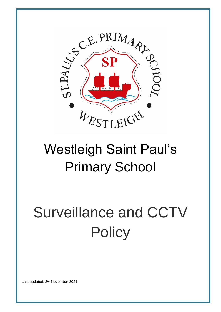

# Westleigh Saint Paul's Primary School

# Surveillance and CCTV **Policy**

Last updated: 2<sup>nd</sup> November 2021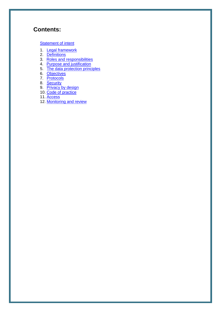# **Contents:**

#### **[Statement of intent](#page-2-0)**

- 1. [Legal framework](#page-3-0)
- 2. [Definitions](#page-3-1)
- 3. [Roles and responsibilities](#page-4-0)
- 4. [Purpose and justification](#page-5-0)
- 5. [The data protection principles](#page-5-1)
- 6. [Objectives](#page-6-0)
- 7. [Protocols](#page-6-1)
- 8. [Security](#page-7-0)
- 9. [Privacy by design](#page-7-1)
- 10. [Code of practice](#page-7-2)
- 11. [Access](#page-9-0)
- 12. [Monitoring and review](#page-10-0)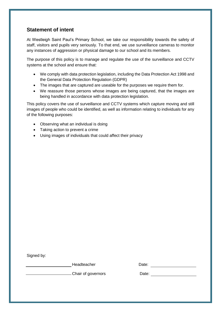# <span id="page-2-0"></span>**Statement of intent**

At Westleigh Saint Paul's Primary School, we take our responsibility towards the safety of staff, visitors and pupils very seriously. To that end, we use surveillance cameras to monitor any instances of aggression or physical damage to our school and its members.

The purpose of this policy is to manage and regulate the use of the surveillance and CCTV systems at the school and ensure that:

- We comply with data protection legislation, including the Data Protection Act 1998 and the General Data Protection Regulation (GDPR)
- The images that are captured are useable for the purposes we require them for.
- We reassure those persons whose images are being captured, that the images are being handled in accordance with data protection legislation.

This policy covers the use of surveillance and CCTV systems which capture moving and still images of people who could be identified, as well as information relating to individuals for any of the following purposes:

- Observing what an individual is doing
- Taking action to prevent a crime
- Using images of individuals that could affect their privacy

Signed by:

Headteacher Date: Date: 2008

Chair of governors Date: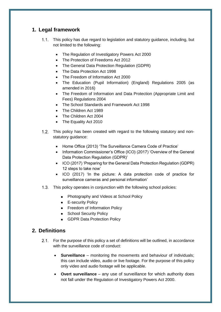# <span id="page-3-0"></span>**1. Legal framework**

- This policy has due regard to legislation and statutory guidance, including, but not limited to the following:
	- The Regulation of Investigatory Powers Act 2000
	- The Protection of Freedoms Act 2012
	- The General Data Protection Regulation (GDPR)
	- The Data Protection Act 1998
	- The Freedom of Information Act 2000
	- The Education (Pupil Information) (England) Regulations 2005 (as amended in 2016)
	- The Freedom of Information and Data Protection (Appropriate Limit and Fees) Regulations 2004
	- The School Standards and Framework Act 1998
	- The Children Act 1989
	- The Children Act 2004
	- The Equality Act 2010
- 1.2. This policy has been created with regard to the following statutory and nonstatutory guidance:
	- Home Office (2013) 'The Surveillance Camera Code of Practice'
	- Information Commissioner's Office (ICO) (2017) 'Overview of the General Data Protection Regulation (GDPR)'
	- ICO (2017) 'Preparing for the General Data Protection Regulation (GDPR) 12 steps to take now'
	- ICO (2017) 'In the picture: A data protection code of practice for surveillance cameras and personal information'
- 1.3. This policy operates in conjunction with the following school policies:
	- Photography and Videos at School Policy
	- **E-security Policy**
	- Freedom of Information Policy
	- School Security Policy
	- GDPR Data Protection Policy

# <span id="page-3-1"></span>**2. Definitions**

- For the purpose of this policy a set of definitions will be outlined, in accordance with the surveillance code of conduct:
	- **Surveillance** monitoring the movements and behaviour of individuals; this can include video, audio or live footage. For the purpose of this policy only video and audio footage will be applicable.
	- **Overt surveillance** any use of surveillance for which authority does not fall under the Regulation of Investigatory Powers Act 2000.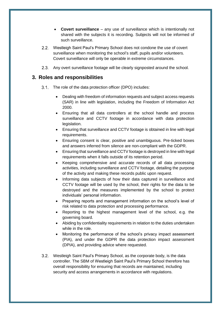- **Covert surveillance** any use of surveillance which is intentionally not shared with the subjects it is recording. Subjects will not be informed of such surveillance.
- Westleigh Saint Paul's Primary School does not condone the use of covert surveillance when monitoring the school's staff, pupils and/or volunteers. Covert surveillance will only be operable in extreme circumstances.
- Any overt surveillance footage will be clearly signposted around the school.

#### <span id="page-4-0"></span>**3. Roles and responsibilities**

- 3.1. The role of the data protection officer (DPO) includes:
	- Dealing with freedom of information requests and subject access requests (SAR) in line with legislation, including the Freedom of Information Act 2000.
	- Ensuring that all data controllers at the school handle and process surveillance and CCTV footage in accordance with data protection legislation.
	- Ensuring that surveillance and CCTV footage is obtained in line with legal requirements.
	- Ensuring consent is clear, positive and unambiguous. Pre-ticked boxes and answers inferred from silence are non-compliant with the GDPR.
	- Ensuring that surveillance and CCTV footage is destroyed in line with legal requirements when it falls outside of its retention period.
	- Keeping comprehensive and accurate records of all data processing activities, including surveillance and CCTV footage, detailing the purpose of the activity and making these records public upon request.
	- Informing data subjects of how their data captured in surveillance and CCTV footage will be used by the school, their rights for the data to be destroyed and the measures implemented by the school to protect individuals' personal information.
	- Preparing reports and management information on the school's level of risk related to data protection and processing performance.
	- Reporting to the highest management level of the school, e.g. the governing board.
	- Abiding by confidentiality requirements in relation to the duties undertaken while in the role.
	- Monitoring the performance of the school's privacy impact assessment (PIA), and under the GDPR the data protection impact assessment (DPIA), and providing advice where requested.
- 3.2. Westleigh Saint Paul's Primary School, as the corporate body, is the data controller. The SBM of Westleigh Saint Paul's Primary School therefore has overall responsibility for ensuring that records are maintained, including security and access arrangements in accordance with regulations.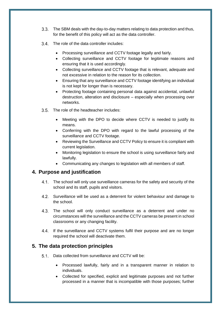- The SBM deals with the day-to-day matters relating to data protection and thus, for the benefit of this policy will act as the data controller.
- The role of the data controller includes:
	- Processing surveillance and CCTV footage legally and fairly.
	- Collecting surveillance and CCTV footage for legitimate reasons and ensuring that it is used accordingly.
	- Collecting surveillance and CCTV footage that is relevant, adequate and not excessive in relation to the reason for its collection.
	- Ensuring that any surveillance and CCTV footage identifying an individual is not kept for longer than is necessary.
	- Protecting footage containing personal data against accidental, unlawful destruction, alteration and disclosure – especially when processing over networks.
- The role of the headteacher includes:
	- Meeting with the DPO to decide where CCTV is needed to justify its means.
	- Conferring with the DPO with regard to the lawful processing of the surveillance and CCTV footage.
	- Reviewing the Surveillance and CCTV Policy to ensure it is compliant with current legislation.
	- Monitoring legislation to ensure the school is using surveillance fairly and lawfully.
	- Communicating any changes to legislation with all members of staff.

#### <span id="page-5-0"></span>**4. Purpose and justification**

- The school will only use surveillance cameras for the safety and security of the school and its staff, pupils and visitors.
- Surveillance will be used as a deterrent for violent behaviour and damage to the school.
- The school will only conduct surveillance as a deterrent and under no circumstances will the surveillance and the CCTV cameras be present in school classrooms or any changing facility.
- 4.4. If the surveillance and CCTV systems fulfil their purpose and are no longer required the school will deactivate them.

#### <span id="page-5-1"></span>**5. The data protection principles**

- 5.1. Data collected from surveillance and CCTV will be:
	- Processed lawfully, fairly and in a transparent manner in relation to individuals.
	- Collected for specified, explicit and legitimate purposes and not further processed in a manner that is incompatible with those purposes; further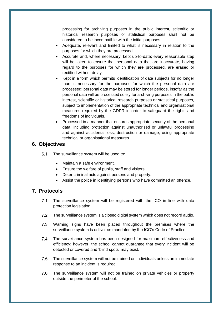processing for archiving purposes in the public interest, scientific or historical research purposes or statistical purposes shall not be considered to be incompatible with the initial purposes.

- Adequate, relevant and limited to what is necessary in relation to the purposes for which they are processed.
- Accurate and, where necessary, kept up-to-date; every reasonable step will be taken to ensure that personal data that are inaccurate, having regard to the purposes for which they are processed, are erased or rectified without delay.
- Kept in a form which permits identification of data subjects for no longer than is necessary for the purposes for which the personal data are processed; personal data may be stored for longer periods, insofar as the personal data will be processed solely for archiving purposes in the public interest, scientific or historical research purposes or statistical purposes, subject to implementation of the appropriate technical and organisational measures required by the GDPR in order to safeguard the rights and freedoms of individuals.
- Processed in a manner that ensures appropriate security of the personal data, including protection against unauthorised or unlawful processing and against accidental loss, destruction or damage, using appropriate technical or organisational measures.

#### <span id="page-6-0"></span>**6. Objectives**

6.1. The surveillance system will be used to:

- Maintain a safe environment.
- Ensure the welfare of pupils, staff and visitors.
- Deter criminal acts against persons and property.
- Assist the police in identifying persons who have committed an offence.

# <span id="page-6-1"></span>**7. Protocols**

- 7.1. The surveillance system will be registered with the ICO in line with data protection legislation.
- The surveillance system is a closed digital system which does not record audio.
- 7.3. Warning signs have been placed throughout the premises where the surveillance system is active, as mandated by the ICO's Code of Practice.
- 7.4. The surveillance system has been designed for maximum effectiveness and efficiency; however, the school cannot guarantee that every incident will be detected or covered and 'blind spots' may exist.
- The surveillance system will not be trained on individuals unless an immediate response to an incident is required.
- 7.6. The surveillance system will not be trained on private vehicles or property outside the perimeter of the school.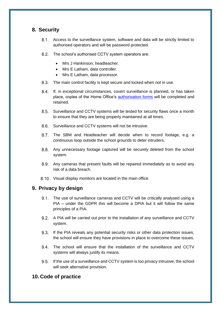# <span id="page-7-0"></span>**8. Security**

- Access to the surveillance system, software and data will be strictly limited to authorised operators and will be password protected.
- 8.2. The school's authorised CCTV system operators are:
	- Mrs J Hankinson, headteacher.
	- Mrs E Latham, data controller.
	- Mrs E Latham, data processor.
- 8.3. The main control facility is kept secure and locked when not in use.
- $8.4.$ If, in exceptional circumstances, covert surveillance is planned, or has taken place, copies of the Home Office's [authorisation forms](https://www.gov.uk/government/publications/application-for-use-of-directed-surveillance) will be completed and retained.
- Surveillance and CCTV systems will be tested for security flaws once a month to ensure that they are being properly maintained at all times.
- 8.6. Surveillance and CCTV systems will not be intrusive.
- 8.7. The SBM and Headteacher will decide when to record footage, e.g. a continuous loop outside the school grounds to deter intruders.
- Any unnecessary footage captured will be securely deleted from the school system.
- Any cameras that present faults will be repaired immediately as to avoid any risk of a data breach.
- 8.10. Visual display monitors are located in the main office.

# <span id="page-7-1"></span>**9. Privacy by design**

- 9.1. The use of surveillance cameras and CCTV will be critically analysed using a PIA – under the GDPR this will become a DPIA but it will follow the same principles of a PIA.
- 9.2. A PIA will be carried out prior to the installation of any surveillance and CCTV system.
- 9.3. If the PIA reveals any potential security risks or other data protection issues, the school will ensure they have provisions in place to overcome these issues.
- The school will ensure that the installation of the surveillance and CCTV systems will always justify its means.
- 9.5. If the use of a surveillance and CCTV system is too privacy intrusive, the school will seek alternative provision.

# <span id="page-7-2"></span>**10. Code of practice**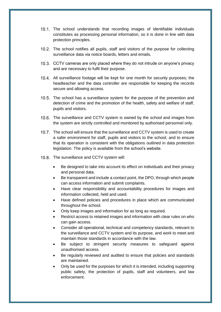- The school understands that recording images of identifiable individuals constitutes as processing personal information, so it is done in line with data protection principles.
- The school notifies all pupils, staff and visitors of the purpose for collecting surveillance data via notice boards, letters and emails.
- CCTV cameras are only placed where they do not intrude on anyone's privacy and are necessary to fulfil their purpose.
- All surveillance footage will be kept for one month for security purposes; the headteacher and the data controller are responsible for keeping the records secure and allowing access.
- 10.5. The school has a surveillance system for the purpose of the prevention and detection of crime and the promotion of the health, safety and welfare of staff, pupils and visitors.
- 10.6. The surveillance and CCTV system is owned by the school and images from the system are strictly controlled and monitored by authorised personnel only.
- 10.7. The school will ensure that the surveillance and CCTV system is used to create a safer environment for staff, pupils and visitors to the school, and to ensure that its operation is consistent with the obligations outlined in data protection legislation. The policy is available from the school's website.
- 10.8. The surveillance and CCTV system will:
	- Be designed to take into account its effect on individuals and their privacy and personal data.
	- Be transparent and include a contact point, the DPO, through which people can access information and submit complaints.
	- Have clear responsibility and accountability procedures for images and information collected, held and used.
	- Have defined policies and procedures in place which are communicated throughout the school.
	- Only keep images and information for as long as required.
	- Restrict access to retained images and information with clear rules on who can gain access.
	- Consider all operational, technical and competency standards, relevant to the surveillance and CCTV system and its purpose, and work to meet and maintain those standards in accordance with the law.
	- Be subject to stringent security measures to safeguard against unauthorised access.
	- Be regularly reviewed and audited to ensure that policies and standards are maintained.
	- Only be used for the purposes for which it is intended, including supporting public safety, the protection of pupils, staff and volunteers, and law enforcement.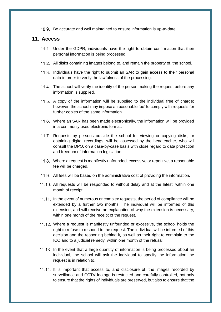10.9. Be accurate and well maintained to ensure information is up-to-date.

#### <span id="page-9-0"></span>**11. Access**

- 11.1. Under the GDPR, individuals have the right to obtain confirmation that their personal information is being processed.
- 11.2. All disks containing images belong to, and remain the property of, the school.
- 11.3. Individuals have the right to submit an SAR to gain access to their personal data in order to verify the lawfulness of the processing.
- 11.4. The school will verify the identity of the person making the request before any information is supplied.
- 11.5. A copy of the information will be supplied to the individual free of charge; however, the school may impose a 'reasonable fee' to comply with requests for further copies of the same information.
- 11.6. Where an SAR has been made electronically, the information will be provided in a commonly used electronic format.
- 11.7. Requests by persons outside the school for viewing or copying disks, or obtaining digital recordings, will be assessed by the headteacher, who will consult the DPO, on a case-by-case basis with close regard to data protection and freedom of information legislation.
- Where a request is manifestly unfounded, excessive or repetitive, a reasonable fee will be charged.
- 11.9. All fees will be based on the administrative cost of providing the information.
- 11.10. All requests will be responded to without delay and at the latest, within one month of receipt.
- 11.11. In the event of numerous or complex requests, the period of compliance will be extended by a further two months. The individual will be informed of this extension, and will receive an explanation of why the extension is necessary, within one month of the receipt of the request.
- Where a request is manifestly unfounded or excessive, the school holds the right to refuse to respond to the request. The individual will be informed of this decision and the reasoning behind it, as well as their right to complain to the ICO and to a judicial remedy, within one month of the refusal.
- 11.13. In the event that a large quantity of information is being processed about an individual, the school will ask the individual to specify the information the request is in relation to.
- 11.14. It is important that access to, and disclosure of, the images recorded by surveillance and CCTV footage is restricted and carefully controlled, not only to ensure that the rights of individuals are preserved, but also to ensure that the